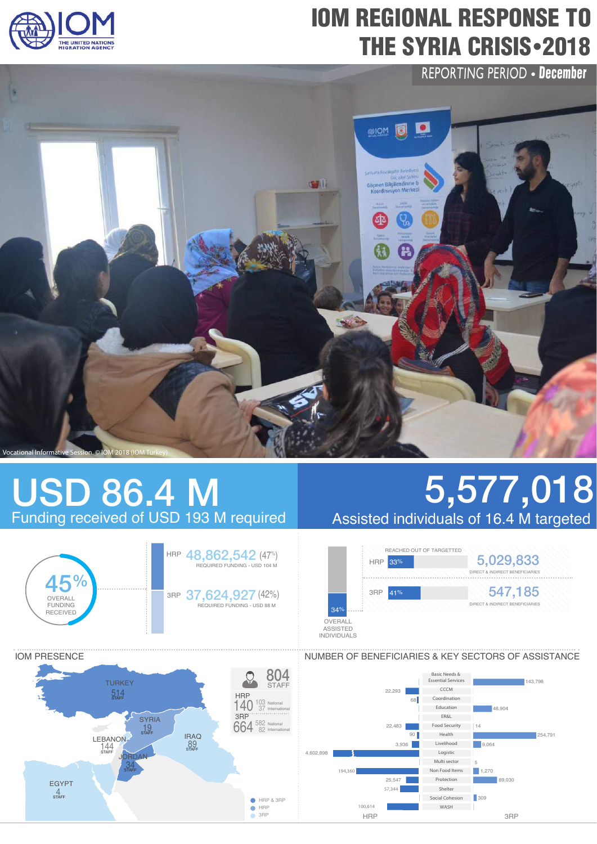

# IOM REGIONAL RESPONSE TO THE SYRIA CRISIS - 2018

REPORTING PERIOD • December



## USD 86.4 M Funding received of USD 193 M required



IOM PRESENCE

# 5,577,018 Assisted individuals of 16.4 M targeted





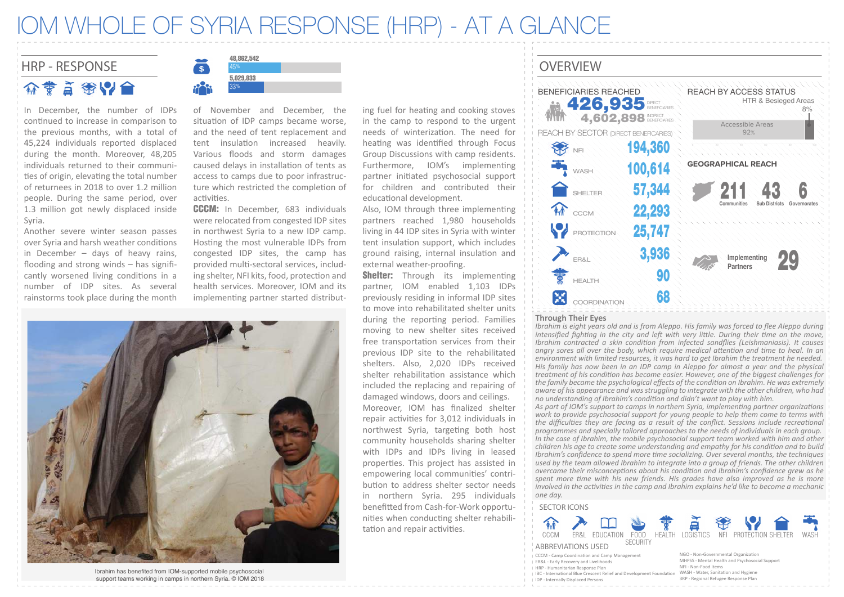### IOM WHOLE OF SYRIA RESPONSE (HRP) - AT A GLANCE

HRP - RESPONSE S 3 45% FOR THE RESPONSE OVERVIEW 介专首徐以合

In December, the number of IDPs continued to increase in comparison to the previous months, with a total of 45,224 individuals reported displaced during the month. Moreover, 48,205 individuals returned to their communi ties of origin, elevating the total number of returnees in 2018 to over 1.2 million people. During the same period, over 1.3 million got newly displaced inside Syria.

Another severe winter season passes over Syria and harsh weather conditions in December – days of heavy rains, flooding and strong winds – has significantly worsened living conditions in a number of IDP sites. As several rainstorms took place during the month



of November and December, the situation of IDP camps became worse. and the need of tent replacement and tent insulation increased heavily. Various floods and storm damages caused delays in installation of tents as access to camps due to poor infrastructure which restricted the completion of activities.

CCCM: In December, 683 individuals were relocated from congested IDP sites in northwest Syria to a new IDP camp. Hosting the most vulnerable IDPs from congested IDP sites, the camp has provided multi-sectoral services, including shelter, NFI kits, food, protection and health services. Moreover, IOM and its implementing partner started distribut-



Ibrahim has benefited from IOM-supported mobile psychosocial support teams working in camps in northern Syria. © IOM 2018 ing fuel for heating and cooking stoves in the camp to respond to the urgent needs of winterization. The need for heating was identified through Focus Group Discussions with camp residents. Furthermore, IOM's implementing partner initiated psychosocial support for children and contributed their educational development.

Also, IOM through three implementing partners reached 1,980 households living in 44 IDP sites in Syria with winter tent insulation support, which includes ground raising, internal insulation and external weather-proofing.

**Shelter:** Through its implementing partner, IOM enabled 1,103 IDPs previously residing in informal IDP sites to move into rehabilitated shelter units during the reporting period. Families moving to new shelter sites received free transportation services from their previous IDP site to the rehabilitated shelters. Also, 2,020 IDPs received shelter rehabilitation assistance which included the replacing and repairing of damaged windows, doors and ceilings. Moreover, IOM has finalized shelter repair activities for 3,012 individuals in northwest Syria, targeting both host community households sharing shelter with IDPs and IDPs living in leased proper�es. This project has assisted in empowering local communi�es' contribution to address shelter sector needs in northern Syria. 295 individuals benefitted from Cash-for-Work opportunities when conducting shelter rehabilitation and repair activities.



#### **Through Their Eyes**

*Ibrahim is eight years old and is from Aleppo. His family was forced to flee Aleppo during intensified fighing in the city and let with very litle. During their ime on the move, Ibrahim contracted a skin condiion from infected sandflies (Leishmaniasis). It causes angry sores all over the body, which require medical atenion and ime to heal. In an environment with limited resources, it was hard to get Ibrahim the treatment he needed. His family has now been in an IDP camp in Aleppo for almost a year and the physical treatment of his condiion has become easier. However, one of the biggest challenges for the family became the psychological effects of the condiion on Ibrahim. He was extremely aware of his appearance and was struggling to integrate with the other children, who had no understanding of Ibrahim's condiion and didn't want to play with him.*

*As part of IOM's support to camps in northern Syria, implemening partner organizaions work to provide psychosocial support for young people to help them come to terms with the difficulies they are facing as a result of the conflict. Sessions include recreaional programmes and specially tailored approaches to the needs of individuals in each group. In the case of Ibrahim, the mobile psychosocial support team worked with him and other children his age to create some understanding and empathy for his condiion and to build Ibrahim's confidence to spend more ime socializing. Over several months, the techniques used by the team allowed Ibrahim to integrate into a group of friends. The other children overcame their misconcepions about his condiion and Ibrahim's confidence grew as he spent more ime with his new friends. His grades have also improved as he is more involved in the aciviies in the camp and Ibrahim explains he'd like to become a mechanic one day.*

### SECTOR ICONS



- CCCM Camp Coordina�on and Camp Management
- ER&L Early Recovery and Livelihoods
- HRP Humanitarian Response Plan
- 
- I IDP Internally Displaced Persons
- 
- IBC International Blue Crescent Relief and Development Foundation WASH Water, Sanitation and Hygiene NGO - Non-Governmental Organization MHPSS - Mental Health and Psychosocial Support NFI - Non-Food Items 3RP - Regional Refugee Response Plan